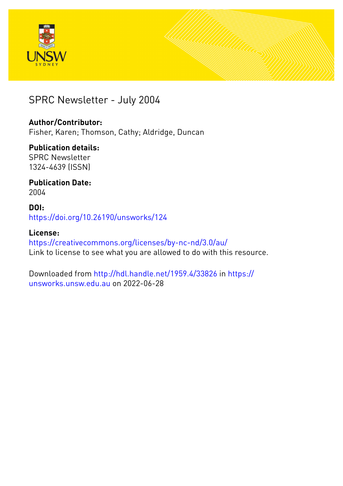



## SPRC Newsletter - July 2004

## **Author/Contributor:**

Fisher, Karen; Thomson, Cathy; Aldridge, Duncan

## **Publication details:**

SPRC Newsletter 1324-4639 (ISSN)

## **Publication Date:** 2004

## **DOI:** [https://doi.org/10.26190/unsworks/124](http://dx.doi.org/https://doi.org/10.26190/unsworks/124)

## **License:** <https://creativecommons.org/licenses/by-nc-nd/3.0/au/>

Link to license to see what you are allowed to do with this resource.

Downloaded from <http://hdl.handle.net/1959.4/33826> in [https://](https://unsworks.unsw.edu.au) [unsworks.unsw.edu.au](https://unsworks.unsw.edu.au) on 2022-06-28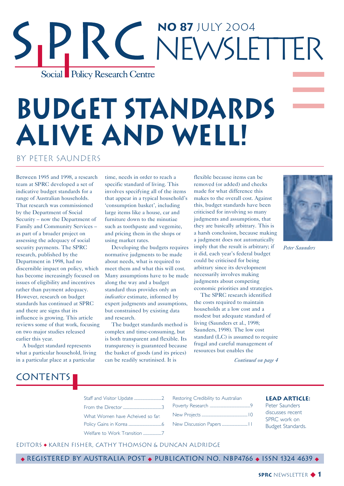## **No 87** July 2004 R C NEWSLETTER Social Policy Research Centre

# **Budget Standards Alive and Well!**

## by Peter Saunders

Between 1995 and 1998, a research team at SPRC developed a set of indicative budget standards for a range of Australian households. That research was commissioned by the Department of Social Security – now the Department of Family and Community Services – as part of a broader project on assessing the adequacy of social security payments. The SPRC research, published by the Department in 1998, had no discernible impact on policy, which has become increasingly focused on issues of eligibility and incentives rather than payment adequacy. However, research on budget standards has continued at SPRC and there are signs that its influence is growing. This article reviews some of that work, focusing on two major studies released earlier this year.

A budget standard represents what a particular household, living in a particular place at a particular

**CONTENTS** 

time, needs in order to reach a specific standard of living. This involves specifying all of the items that appear in a typical household's 'consumption basket', including large items like a house, car and furniture down to the minutiae such as toothpaste and vegemite, and pricing them in the shops or using market rates.

Developing the budgets requires normative judgments to be made about needs, what is required to meet them and what this will cost. Many assumptions have to be made along the way and a budget standard thus provides only an *indicative* estimate, informed by expert judgments and assumptions, but constrained by existing data and research.

The budget standards method is complex and time-consuming, but is both transparent and flexible. Its transparency is guaranteed because the basket of goods (and its prices) can be readily scrutinised. It is

flexible because items can be removed (or added) and checks made for what difference this makes to the overall cost. Against this, budget standards have been criticised for involving so many judgments and assumptions, that they are basically arbitrary. This is a harsh conclusion, because making a judgment does not automatically imply that the result is arbitrary; if it did, each year's federal budget could be criticised for being arbitrary since its development necessarily involves making judgments about competing economic priorities and strategies.

The SPRC research identified the costs required to maintain households at a low cost and a modest but adequate standard of living (Saunders et al., 1998; Saunders, 1998). The low cost standard (LC) is assumed to require frugal and careful management of resources but enables the

*Peter Saunders*

*Continued on page 4*



| What Women have Acheived so far: |  |
|----------------------------------|--|

Policy Gains in Korea ....................................6

Welfare to Work Transition ........................7

| Restoring Credibility to Australian |
|-------------------------------------|
|                                     |
|                                     |
| New Discussion Papers               |

#### **Lead Article:**

Peter Saunders discusses recent SPRC work on Budget Standards.

### EditorS ◆ Karen Fisher, Cathy Thomson & Duncan Aldridge

◆ Registered by Australia Post ◆ Publication No. NBP4766 ◆ ISSN 1324 4639 ◆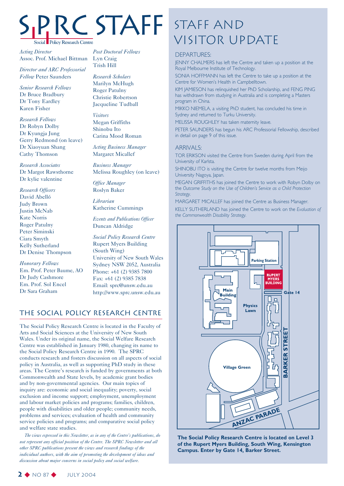

*Acting Director* Assoc. Prof. Michael Bittman

*Director and ARC Professorial Fellow* Peter Saunders

*Senior Research Fellows* Dr Bruce Bradbury Dr Tony Eardley Karen Fisher

*Research Fellows* Dr Robyn Dolby Dr Kyungja Jung Gerry Redmond (on leave) Dr Xiaoyuan Shang Cathy Thomson

*Research Associates* Dr Margot Rawsthorne Dr kylie valentine

*Research Officers* David Abelló Judy Brown Justin McNab Kate Norris Roger Patulny Peter Siminski Ciara Smyth Kelly Sutherland Dr Denise Thompson

*Honorary Fellows* Em. Prof. Peter Baume, AO Dr Judy Cashmore Em. Prof. Sol Encel Dr Sara Graham

*Post Doctoral Fellows* Lyn Craig Trish Hill

*Research Scholars* Marilyn McHugh Roger Patulny Christie Robertson Jacqueline Tudball

*Visitors* Megan Griffiths Shinobu Ito Carina Mood Roman

*Acting Business Manager* Margaret Micallef

*Business Manager* Melissa Roughley (on leave)

*Office Manager* Roslyn Baker

*Librarian* Katherine Cummings

*Events and Publications Officer* Duncan Aldridge

*Social Policy Research Centre* Rupert Myers Building (South Wing) University of New South Wales Sydney NSW 2052, Australia Phone: +61 (2) 9385 7800 Fax: +61 (2) 9385 7838 Email: sprc@unsw.edu.au http://www.sprc.unsw.edu.au

## The Social Policy Research Centre

The Social Policy Research Centre is located in the Faculty of Arts and Social Sciences at the University of New South Wales. Under its original name, the Social Welfare Research Centre was established in January 1980, changing its name to the Social Policy Research Centre in 1990. The SPRC conducts research and fosters discussion on all aspects of social policy in Australia, as well as supporting PhD study in these areas. The Centre's research is funded by governments at both Commonwealth and State levels, by academic grant bodies and by non-governmental agencies. Our main topics of inquiry are: economic and social inequality; poverty, social exclusion and income support; employment, unemployment and labour market policies and programs; families, children, people with disabilities and older people; community needs, problems and services; evaluation of health and community service policies and programs; and comparative social policy and welfare state studies.

*The views expressed in this Newsletter, as in any of the Centre's publications, do not represent any official position of the Centre. The SPRC Newsletter and all other SPRC publications present the views and research findings of the individual authors, with the aim of promoting the development of ideas and discussion about major concerns in social policy and social welfare.*

## Staff and STAFF STAFF AND<br>VISITOR UPDATE

#### DEPARTURES:

JENNY CHALMERS has left the Centre and taken up a position at the Royal Melbourne Institute of Technology.

SONIA HOFFMANN has left the Centre to take up a position at the Centre for Women's Health in Campbelltown.

KIM JAMIESON has relinquished her PhD Scholarship, and FENG PING has withdrawn from studying in Australia and is completing a Masters program in China.

MIKKO NIEMELA, a visiting PhD student, has concluded his time in Sydney and returned to Turku University.

MELISSA ROUGHLEY has taken maternity leave.

PETER SAUNDERS has begun his ARC Professorial Fellowship, described in detail on page 9 of this issue.

#### **ARRIVALS:**

TOR ERIKSON visited the Centre from Sweden during April from the University of Karlsta.

SHINOBU ITO is visiting the Centre for twelve months from Meijo University Nagoya, Japan.

MEGAN GRIFFITHS has joined the Centre to work with Robyn Dolby on the *Outcome Study on the Use of Children's Service as a Child Protection Strategy.*

MARGARET MICALLEF has joined the Centre as Business Manager.

KELLY SUTHERLAND has joined the Centre to work on the *Evaluation of the Commonwealth Disability Strategy.*



**The Social Policy Research Centre is located on Level 3 of the Rupert Myers Building, South Wing, Kensington Campus. Enter by Gate 14, Barker Street.**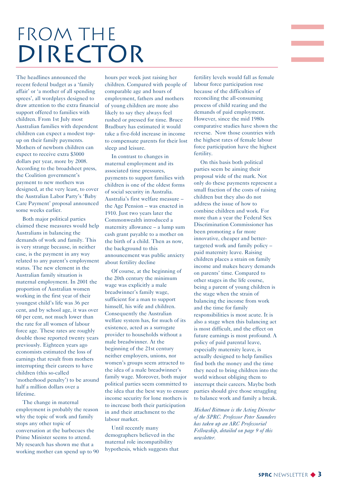## FROM THE DIRECTOR

The headlines announced the recent federal budget as a 'family affair' or 'a mother of all spending sprees', all wordplays designed to draw attention to the extra financial support offered to families with children. From 1st July most Australian families with dependent children can expect a modest topup on their family payments. Mothers of newborn children can expect to receive extra \$3000 dollars per year, more by 2008. According to the broadsheet press, the Coalition government's payment to new mothers was designed, at the very least, to cover the Australian Labor Party's 'Baby Care Payment' proposal announced some weeks earlier.

Both major political parties claimed these measures would help Australians in balancing the demands of work and family. This is very strange because, in neither case, is the payment in any way related to any parent's employment status. The new element in the Australian family situation is maternal employment. In 2001 the proportion of Australian women working in the first year of their youngest child's life was 36 per cent, and by school age, it was over 60 per cent, not much lower than the rate for all women of labour force age. These rates are roughly double those reported twenty years previously. Eighteen years ago economists estimated the loss of earnings that result from mothers interrupting their careers to have children (this so-called 'motherhood penalty') to be around half a million dollars over a lifetime.

The change in maternal employment is probably the reason why the topic of work and family stops any other topic of conversation at the barbecues the Prime Minister seems to attend. My research has shown me that a working mother can spend up to 90

hours per week just raising her children. Compared with people of comparable age and hours of employment, fathers and mothers of young children are more also likely to say they always feel rushed or pressed for time. Bruce Bradbury has estimated it would take a five-fold increase in income to compensate parents for their lost sleep and leisure.

In contrast to changes in maternal employment and its associated time pressures, payments to support families with children is one of the oldest forms of social security in Australia. Australia's first welfare measure – the Age Pension – was enacted in 1910. Just two years later the Commonwealth introduced a maternity allowance – a lump sum cash grant payable to a mother on the birth of a child. Then as now, the background to this announcement was public anxiety about fertility decline

Of course, at the beginning of the 20th century the minimum wage was explicitly a male breadwinner's family wage, sufficient for a man to support himself, his wife and children. Consequently the Australian welfare system has, for much of its existence, acted as a surrogate provider to households without a male breadwinner. At the beginning of the 21st century neither employers, unions, nor women's groups seem attracted to the idea of a male breadwinner's family wage. Moreover, both major political parties seem committed to the idea that the best way to ensure income security for lone mothers is to increase both their participation in and their attachment to the labour market.

Until recently many demographers believed in the maternal role incompatibility hypothesis, which suggests that fertility levels would fall as female labour force participation rose because of the difficulties of reconciling the all-consuming process of child rearing and the demands of paid employment. However, since the mid 1980s comparative studies have shown the reverse. Now those countries with the highest rates of female labour force participation have the highest fertility.

On this basis both political parties seem be aiming their proposal wide of the mark. Not only do these payments represent a small fraction of the costs of raising children but they also do not address the issue of how to combine children and work. For more than a year the Federal Sex Discrimination Commissioner has been promoting a far more innovative, cheaper and bettertargeted work and family policy – paid maternity leave. Raising children places a strain on family income and makes heavy demands on parents' time. Compared to other stages in the life course, being a parent of young children is the stage when the strain of balancing the income from work and the time for family responsibilities is most acute. It is also a stage when this balancing act is most difficult, and the effect on future earnings is most profound. A policy of paid parental leave, especially maternity leave, is actually designed to help families find both the money and the time they need to bring children into the world without obliging them to interrupt their careers. Maybe both parties should give those struggling to balance work and family a break.

*Michael Bittman is the Acting Director of the SPRC. Professor Peter Saunders has taken up an ARC Professorial Fellowship, detailed on page 9 of this newsletter.*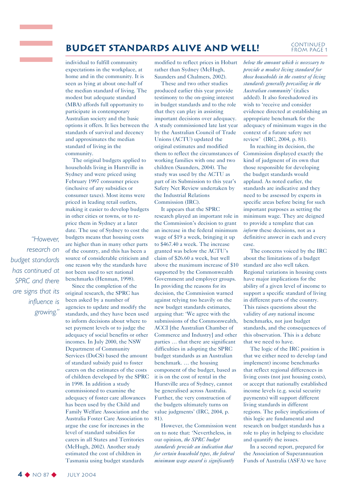## **BUDGET STANDARDS ALIVE AND WELL!** CONTINUED

individual to fulfill community expectations in the workplace, at home and in the community. It is seen as lying at about one-half of the median standard of living. The modest but adequate standard (MBA) affords full opportunity to participate in contemporary Australian society and the basic options it offers. It lies between the standards of survival and decency and approximates the median standard of living in the community.

The original budgets applied to households living in Hurstville in Sydney and were priced using February 1997 consumer prices (inclusive of any subsidies or consumer taxes). Most items were priced in leading retail outlets, making it easier to develop budgets in other cities or towns, or to reprice them in Sydney at a later date. The use of Sydney to cost the budgets means that housing costs are higher than in many other parts of the country, and this has been a source of considerable criticism and one reason why the standards have not been used to set national benchmarks (Henman, 1998).

Since the completion of the original research, the SPRC has been asked by a number of agencies to update and modify the standards, and they have been used to inform decisions about where to set payment levels or to judge the adequacy of social benefits or other incomes. In July 2000, the NSW Department of Community Services (DoCS) based the amount of standard subsidy paid to foster carers on the estimates of the costs of children developed by the SPRC in 1998. In addition a study commissioned to examine the adequacy of foster care allowances has been used by the Child and Family Welfare Association and the Australia Foster Care Association to argue the case for increases in the level of standard subsidies for carers in all States and Territories (McHugh, 2002). Another study estimated the cost of children in Tasmania using budget standards

modified to reflect prices in Hobart rather than Sydney (McHugh, Saunders and Chalmers, 2002).

These and two other studies produced earlier this year provide testimony to the on-going interest in budget standards and to the role that they can play in assisting important decisions over adequacy. A study commissioned late last year by the Australian Council of Trade Unions (ACTU) updated the original estimates and modified them to reflect the circumstances of working families with one and two children (Saunders, 2004). The study was used by the ACTU as part of its Submission to this year's Safety Net Review undertaken by the Industrial Relations Commission (IRC).

It appears that the SPRC research played an important role in the Commission's decision to grant an increase in the federal minimum wage of \$19 a week, bringing it up to \$467.40 a week. The increase granted was below the ACTU's claim of \$26.60 a week, but well above the maximum increase of \$10 supported by the Commonwealth Government and employer groups. In providing the reasons for its decision, the Commission warned against relying too heavily on the new budget standards estimates, arguing that: 'We agree with the submissions of the Commonwealth, ACCI [the Australian Chamber of Commerce and Industry] and other parties … that there are significant difficulties in adopting the SPRC budget standards as an Australian benchmark. … the housing component of the budget, based as it is on the cost of rental in the Hurstville area of Sydney, cannot be generalised across Australia. Further, the very construction of the budgets ultimately turns on value judgments' (IRC, 2004, p. 81).

However, the Commission went on to note that: 'Nevertheless, in our opinion, *the SPRC budget standards provide an indication that for certain household types, the federal minimum wage award is significantly*

#### *below the amount which is necessary to provide a modest living standard for those households in the context of living standards generally prevailing in the Australian community'* (italics added). It also foreshadowed its wish to 'receive and consider evidence directed at establishing an appropriate benchmark for the adequacy of minimum wages in the context of a future safety net review' (IRC, 2004, p. 81).

from Page 1

In reaching its decision, the Commission displayed exactly the kind of judgment of its own that those responsible for developing the budget standards would applaud. As noted earlier, the standards are indicative and they need to be assessed by experts in specific areas before being for such important purposes as setting the minimum wage. They are deigned to provide a template that can *inform* these decisions, not as a definitive answer in each and every case.

The concerns voiced by the IRC about the limitations of a budget standard are also well taken. Regional variations in housing costs have major implications for the ability of a given level of income to support a specific standard of living in different parts of the country. This raises questions about the validity of *any* national income benchmarks, not just budget standards, and the consequences of this observation. This is a debate that we need to have.

The logic of the IRC position is that we either need to develop (and implement) income benchmarks that reflect regional differences in living costs (not just housing costs), or accept that nationally established income levels (e.g. social security payments) will support different living standards in different regions. The policy implications of this logic are fundamental and research on budget standards has a role to play in helping to elucidate and quantify the issues.

In a second report, prepared for the Association of Superannuation Funds of Australia (ASFA) we have

*research on budget standards has continued at SPRC and there are signs that its influence is growing."*

*"However,*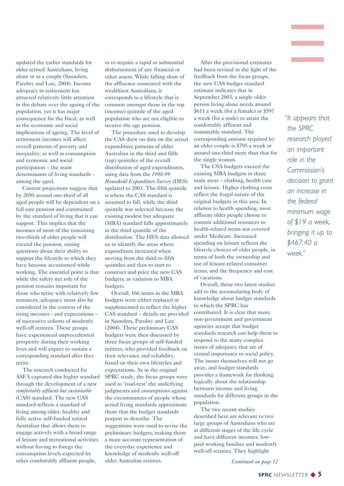updated the earlier standards for older retired Australians, living alone or as a couple (Saunders, Patulny and Lee, 2004). Income adequacy in retirement has attracted relatively little attention in the debate over the ageing of the population, yet it has major consequence for the fiscal, as well as the economic and social implications of ageing. The level of retirement incomes will affect overall patterns of poverty and inequality, as well as consumption and economic and social participation – the main determinants of living standards among the aged.

Current projections suggest that by 2050 around one-third of all aged people will be dependent on a full-rate pension and constrained by the standard of living that it can support. This implies that the incomes of most of the remaining two-thirds of older people will exceed the pension, raising questions about their ability to support the lifestyle to which they have become accustomed while working. The essential point is that while the safety net role of the pension remains important for those who retire with relatively few resources, adequacy must also be considered in the context of the rising incomes - and expectations – of successive cohorts of modestly well-off retirees. These groups have experienced unprecedented prosperity during their working lives and will expect to sustain a corresponding standard after they retire.

The research conducted for ASFA captured this higher standard through the development of a new *comfortably affluent but sustainable* (CAS) standard. The new CAS standard reflects a standard of living among older, healthy and fully active self-funded retired Australian that allows them to engage actively with a broad range of leisure and recreational activities without having to forego the consumption levels expected by other comfortably affluent people,

or to require a rapid or substantial disbursement of any financial or other assets. While falling short of the affluence associated with the wealthiest Australians, it corresponds to a lifestyle that is common amongst those in the top (income) quintile of the aged population who are not eligible to receive the age pension.

The procedure used to develop the CAS drew on data on the actual expenditure patterns of older Australian in the third and fifth (top) quintiles of the overall distribution of aged expenditures, using data from the *1998-99 Household Expenditure Survey* (HES) updated to 2003. The fifth quintile is where the CAS standard is assumed to fall, while the third quintile was selected because the existing modest but adequate (MBA) standard falls approximately in the third quintile of the distribution. The HES data allowed us to identify the areas where expenditure increased when moving from the third to fifth quintiles and thus to start to construct and price the new CAS budgets, as variation to MBA budgets.

Overall, 166 items in the MBA budgets were either replaced or supplemented to reflect the higher CAS standard – details are provided in Saunders, Patulny and Lee (2004). These preliminary CAS budgets were then discussed by three focus groups of self-funded retirees, who provided feedback on their relevance and reliability, based on their own lifestyles and expectations. As in the original SPRC study, the focus groups were used to 'road-test' the underlying judgments and assumptions against the circumstances of people whose actual living standards approximate those that the budget standards purport to describe. The suggestions were used to revise the preliminary budgets, making them a more accurate representation of the everyday experience and knowledge of modestly well-off older Australian retirees.

After the provisional estimates had been revised in the light of the feedback from the focus groups, the new CAS budget standard estimate indicates that in September 2003, a single older person living alone needs around \$611 a week (for a female) or \$597 a week (for a male) to attain the comfortably affluent and sustainable standard. The corresponding amount required by an older couple is \$795 a week or around one-third more than that for the single woman.

The CSA budgets exceed the existing MBA budgets in three main areas – clothing, health care and leisure. Higher clothing costs reflect the frugal nature of the original budgets in this area. In relation to health spending, most affluent older people choose to commit additional resources to health-related items not covered under Medicare. Increased spending on leisure reflects the lifestyle choices of older people, in terms of both the ownership and use of leisure-related consumer items, and the frequency and cost of vacations.

Overall, these two latest studies add to the accumulating body of knowledge about budget standards to which the SPRC has contributed. It is clear that many non-government and government agencies accept that budget standards research can help them to respond to the many complex issues of adequacy that are of central importance to social policy. The issues themselves will not go away, and budget standards provides a framework for thinking logically about the relationship between income and living standards for different groups in the population.

The two recent studies described here are relevant to two large groups of Australians who are at different stages of the life cycle and have different incomes: lowpaid working families and modestly well-off retirees. They highlight

*Continued on page 12*

*"It appears that the SPRC research played an important role in the Commission's decision to grant an increase in the federal minimum wage of \$19 a week, bringing it up to \$467.40 a week."*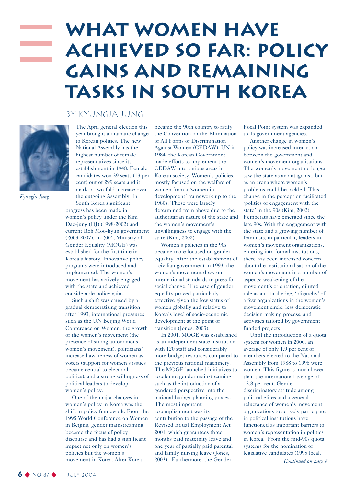## **What women have achieved so far: policy gains and remaining tasks in South Korea**

## By Kyungja Jung



*Kyungja Jung*

The April general election this year brought a dramatic change to Korean politics. The new National Assembly has the highest number of female representatives since its establishment in 1948. Female candidates won 39 seats (13 per cent) out of 299 seats and it marks a two-fold increase over the outgoing Assembly. In South Korea significant

progress has been made in women's policy under the Kim Dae-jung (DJ) (1998-2002) and current Roh Moo-hyun government (2003-2007). In 2001, Ministry of Gender Equality (MOGE) was established for the first time in Korea's history. Innovative policy programs were introduced and implemented. The women's movement has actively engaged with the state and achieved considerable policy gains.

Such a shift was caused by a gradual democratising transition after 1993, international pressures such as the UN Beijing World Conference on Women, the growth of the women's movement (the presence of strong autonomous women's movement), politicians' increased awareness of women as voters (support for women's issues became central to electoral politics), and a strong willingness of political leaders to develop women's policy.

One of the major changes in women's policy in Korea was the shift in policy framework. From the 1995 World Conference on Women in Beijing, gender mainstreaming became the focus of policy discourse and has had a significant impact not only on women's policies but the women's movement in Korea. After Korea

became the 90th country to ratify the Convention on the Elimination of All Forms of Discrimination Against Women (CEDAW), UN in 1984, the Korean Government made efforts to implement the CEDAW into various areas in Korean society. Women's policies, mostly focused on the welfare of women from a 'women in development' framework up to the 1980s. These were largely determined from above due to the authoritarian nature of the state and the women's movement's unwillingness to engage with the state (Kim, 2002).

Women's policies in the 90s became more focused on gender equality. After the establishment of a civilian government in 1993, the women's movement drew on international standards to press for social change. The case of gender equality proved particularly effective given the low status of women globally and relative to Korea's level of socio-economic development at the point of transition (Jones, 2003).

In 2001, MOGE was established as an independent state institution with 120 staff and considerably more budget resources compared to the previous national machinery. The MOGE launched initiatives to accelerate gender mainstreaming such as the introduction of a gendered perspective into the national budget planning process. The most important accomplishment was its contribution to the passage of the Revised Equal Employment Act 2001, which guarantees three months paid maternity leave and one year of partially paid parental and family nursing leave (Jones, 2003). Furthermore, the Gender

Focal Point system was expanded to 45 government agencies.

Another change in women's policy was increased interaction between the government and women's movement organisations. The women's movement no longer saw the state as an antagonist, but as an arena where women's problems could be tackled. This change in the perception facilitated 'politics of engagement with the state' in the 90s (Kim, 2002). Femocrats have emerged since the late 90s. With the engagement with the state and a growing number of feminists, in particular, leaders in women's movement organizations, entering into formal institutions, there has been increased concern about the institutionalisation of the women's movement in a number of aspects: weakening of the movement's orientation, diluted role as a critical edge, 'oligarchy' of a few organizations in the women's movement circle, less democratic decision making process, and activities tailored by government funded projects .

Until the introduction of a quota system for women in 2000, an average of only 1.9 per cent of members elected to the National Assembly from 1988 to 1996 were women. This figure is much lower than the international average of 13.8 per cent. Gender discriminatory attitude among political elites and a general reluctance of women's movement organizations to actively participate in political institutions have functioned as important barriers to women's representation in politics in Korea. From the mid-90s quota systems for the nomination of legislative candidates (1995 local,

*Continued on page 8*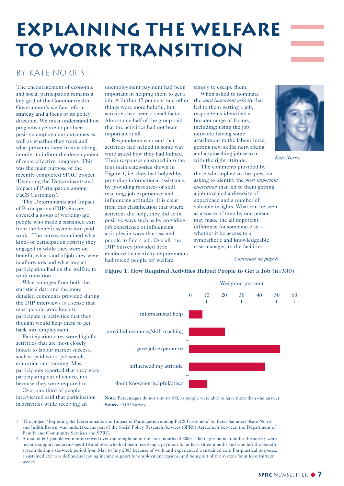## **Explaining the Welfare to Work Transition**

## By Kate Norris

The encouragement of economic and social participation remains a key goal of the Commonwealth Government's welfare reform strategy and a focus of its policy direction. We must understand how programs operate to produce positive employment outcomes as well as whether they work and what prevents them from working. in order to inform the development of more effective programs. This was the main purpose of the recently completed SPRC project 'Exploring the Determinants and Impact of Participation among FaCS Customers'.1

The Determinants and Impact of Participation (DIP) Survey covered a group of working-age people who made a sustained exit from the benefit system into paid work. The survey examined what kinds of participation activity they engaged in while they were on benefit, what kind of job they were in afterwards and what impact participation had on the welfare to work transition.

What emerges from both the statistical data and the more detailed comments provided during the DIP interviews is a sense that most people were keen to participate in activities that they thought would help them to get back into employment.

Participation rates were high for activities that are most closely linked to labour market success, such as paid work, job search, education and training. Most participants reported that they were participating out of choice, not because they were required to.

Over one third of people interviewed said that participation in activities while receiving an

unemployment payment had been important in helping them to get a job. A further 17 per cent said other things were more helpful, but activities had been a small factor. Almost one half of the group said that the activities had not been important at all.

Respondents who said that activities had helped in some way were asked how they had helped. Their responses clustered into the four main categories shown in Figure 1, i.e. they had helped by providing informational assistance; by providing resources or skill teaching; job experience; and influencing attitudes. It is clear from this classification that where activities did help, they did so in positive ways such as by providing job experience or influencing attitudes in ways that assisted people to find a job. Overall, the DIP Survey provided little evidence that activity requirements had forced people off welfare

simply to escape them.

When asked to nominate the *most important activity* that led to them getting a job, respondents identified a broader range of factors, including: using the job network; having some attachment to the labour force; getting new skills; networking; and approaching job search with the right attitude.

The comments provided by those who replied to the question asking to identify the *most important motivation* that led to them getting a job revealed a diversity of experience and a number of valuable insights. What can be seen as a waste of time by one person may make the all important difference for someone else – whether it be access to a sympathetic and knowledgeable case manager, to the facilities

#### *Continued on page 8*

*Kate Norris*



**Figure 1: How Required Activities Helped People to Get a Job (n=330)**

**Note:** Percentages do not sum to 100, as people were able to have more than one answer. **Source:** DIP Survey

1 The project 'Exploring the Determinants and Impact of Participation among FaCS Customers' by Peter Saunders, Kate Norris and Judith Brown, was undertaken as part of the Social Policy Research Services (SPRS) Agreement between the Department of Family and Community Services and SPRC.

2 A total of 661 people were interviewed over the telephone in the later months of 2003. The target population for the survey were income support recipients aged 16 and over who had been receiving a payment for at least three months and who left the benefit system during a six-week period from May to July 2003 because of work and experienced a sustained exit. For practical purposes, a sustained exit was defined as leaving income support for employment reasons, and being out of the system for at least thirteen weeks.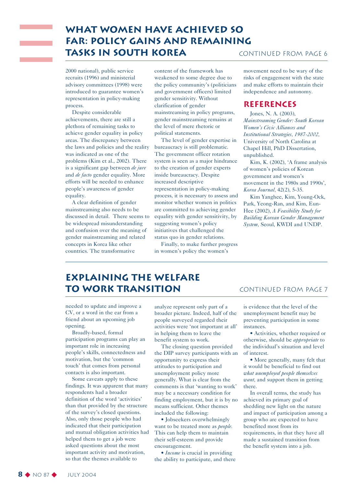## **What women have achieved so far: policy gains and remaining tasks in South Korea**

2000 national), public service recruits (1996) and ministerial advisory committees (1998) were introduced to guarantee women's representation in policy-making process.

Despite considerable achievements, there are still a plethora of remaining tasks to achieve gender equality in policy areas. The discrepancy between the laws and policies and the reality was indicated as one of the problems (Kim et al., 2002). There is a significant gap between *de jure* and *de facto* gender equality. More efforts will be needed to enhance people's awareness of gender equality.

A clear definition of gender mainstreaming also needs to be discussed in detail. There seems to be widespread misunderstanding and confusion over the meaning of gender mainstreaming and related concepts in Korea like other countries. The transformative

content of the framework has weakened to some degree due to the policy community's (politicians and government officers) limited gender sensitivity. Without clarification of gender mainstreaming in policy programs, gender mainstreaming remains at the level of mere rhetoric or political statements.

The level of gender expertise in bureaucracy is still problematic. The government officer rotation system is seen as a major hindrance to the creation of gender experts inside bureaucracy. Despite increased descriptive representation in policy-making process, it is necessary to assess and monitor whether women in politics are committed to achieving gender equality with gender sensitivity, by suggesting women's policy initiatives that challenged the status quo in gender relations.

Finally, to make further progress in women's policy the women's

#### Continued from page 6

movement need to be wary of the risks of engagement with the state and make efforts to maintain their independence and autonomy.

### **REFERENCES**

Jones, N. A. (2003), *Mainstreaming Gender: South Korean Women's Civic Alliances and Institutional Strategies, 1987-2002,* University of North Carolina at Chapel Hill, PhD Dissertation, unpublished.

Kim, K. (2002), 'A frame analysis of women's policies of Korean government and women's movement in the 1980s and 1990s', *Korea Journal,* 42(2), 5-35.

Kim Yanghee, Kim, Young-Ock, Park, Yeong-Ran, and Kim, Eun-Hee (2002), *A Feasibility Study for Building Korean Gender Management System,* Seoul, KWDI and UNDP.

## **Explaining the Welfare to Work Transition**

needed to update and improve a CV, or a word in the ear from a friend about an upcoming job opening.

Broadly-based, formal participation programs can play an important role in increasing people's skills, connectedness and motivation, but the 'common touch' that comes from personal contacts is also important.

Some caveats apply to these findings. It was apparent that many respondents had a broader definition of the word 'activities' than that provided by the structure of the survey's closed questions. Also, only those people who had indicated that their participation and mutual obligation activities had helped them to get a job were asked questions about the most important activity and motivation, so that the themes available to

analyze represent only part of a broader picture. Indeed, half of the people surveyed regarded their activities were 'not important at all' in helping them to leave the benefit system to work.

The closing question provided the DIP survey participants with an opportunity to express their attitudes to participation and unemployment policy more generally. What is clear from the comments is that 'wanting to work' may be a necessary condition for finding employment, but it is by no means sufficient. Other themes included the following:

• Jobseekers overwhelmingly want to be treated more as *people.* This can help them to maintain their self-esteem and provide encouragement.

• *Income* is crucial in providing the ability to participate, and there

#### Continued from page 7

is evidence that the level of the unemployment benefit may be preventing participation in some instances.

• Activities, whether required or otherwise, should be *appropriate* to the individual's situation and level of interest.

• More generally, many felt that it would be beneficial to find out *what unemployed people themselves want,* and support them in getting there.

In overall terms, the study has achieved its primary goal of shedding new light on the nature and impact of participation among a group who are expected to have benefited most from its requirements, in that they have all made a sustained transition from the benefit system into a job.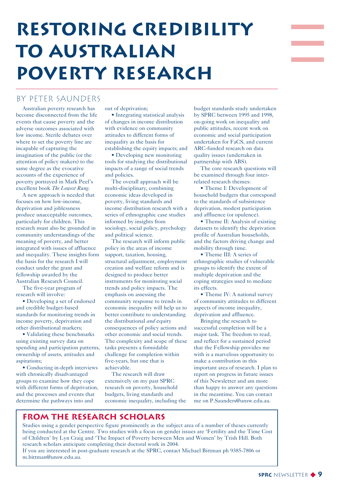## **Restoring Credibility to Australian Poverty Research**

## By Peter saunders

Australian poverty research has become disconnected from the life events that cause poverty and the adverse outcomes associated with low income. Sterile debates over where to set the poverty line are incapable of capturing the imagination of the public (or the attention of policy makers) to the same degree as the evocative accounts of the experience of poverty portrayed in Mark Peel's excellent book *The Lowest Rung.* 

A new approach is needed that focuses on how low-income, deprivation and joblessness produce unacceptable outcomes, particularly for children. This research must also be grounded in community understandings of the meaning of poverty, and better integrated with issues of affluence and inequality. These insights form the basis for the research I will conduct under the grant and fellowship awarded by the Australian Research Council.

The five-year program of research will involve:

• Developing a set of endorsed and credible budget-based standards for monitoring trends in income poverty, deprivation and other distributional markers;

• Validating these benchmarks using existing survey data on spending and participation patterns, ownership of assets, attitudes and aspirations;

• Conducting in-depth interviews with chronically disadvantaged groups to examine how they cope with different forms of deprivation, and the processes and events that determine the pathways into and

out of deprivation;

• Integrating statistical analysis of changes in income distribution with evidence on community attitudes to different forms of inequality as the basis for establishing the equity impacts; and

• Developing new monitoring tools for studying the distributional impacts of a range of social trends and policies.

The overall approach will be multi-disciplinary, combining economic ideas developed in poverty, living standards and income distribution research with a series of ethnographic case studies informed by insights from sociology, social policy, psychology and political science.

The research will inform public policy in the areas of income support, taxation, housing, structural adjustment, employment creation and welfare reform and is designed to produce better instruments for monitoring social trends and policy impacts. The emphasis on assessing the community response to trends in economic inequality will help us to better contribute to understanding the distributional *and* equity consequences of policy actions and other economic and social trends. The complexity and scope of these tasks presents a formidable challenge for completion within five-years, but one that is achievable.

The research will draw extensively on my past SPRC research on poverty, household budgets, living standards and economic inequality, including the

budget standards study undertaken by SPRC between 1995 and 1998, on-going work on inequality and public attitudes, recent work on economic and social participation undertaken for FaCS, and current ARC-funded research on data quality issues (undertaken in partnership with ABS).

The core research questions will be examined through four interrelated research themes:

• Theme I: Development of household budgets that correspond to the standards of subsistence deprivation, modest participation and affluence (or opulence).

• Theme II: Analysis of existing datasets to identify the deprivation profile of Australian households, and the factors driving change and mobility through time.

• Theme III: A series of ethnographic studies of vulnerable groups to identify the extent of multiple deprivation and the coping strategies used to mediate its effects.

• Theme IV: A national survey of community attitudes to different aspects of income inequality, deprivation and affluence.

Bringing the research to successful completion will be a major task. The freedom to read, and reflect for a sustained period that the Fellowship provides me with is a marvelous opportunity to make a contribution in this important area of research. I plan to report on progress in future issues of this Newsletter and am more than happy to answer any questions in the meantime. You can contact me on P.Saunders@unsw.edu.au.

## **From the Research Scholars**

Studies using a gender perspective figure prominently as the subject area of a number of theses currently being conducted at the Centre. Two studies with a focus on gender issues are 'Fertility and the Time Cost of Children' by Lyn Craig and 'The Impact of Poverty between Men and Women' by Trish Hill. Both research scholars anticipate completing their doctoral work in 2004.

If you are interested in post-graduate research at the SPRC, contact Michael Bittman ph 9385-7806 or m.bittman@unsw.edu.au.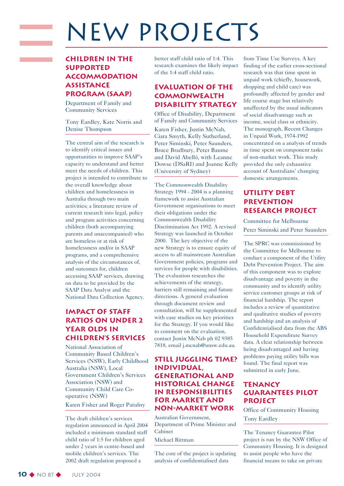## NEW PROJECTS

## **Children in the Supported Accommodation Assistance Program (SAAP)**

Department of Family and Community Services

Tony Eardley, Kate Norris and Denise Thompson

The central aim of the research is to identify critical issues and opportunities to improve SAAP's capacity to understand and better meet the needs of children. This project is intended to contribute to the overall knowledge about children and homelessness in Australia through two main activities; a literature review of current research into legal, policy and program activities concerning children (both accompanying parents and unaccompanied) who are homeless or at risk of homelessness and/or in SAAP programs, and a comprehensive analysis of the circumstances of, and outcomes for, children accessing SAAP services, drawing on data to be provided by the SAAP Data Analyst and the National Data Collection Agency.

## **IMPACT OF STAFF RATIOS ON UNDER 2 YEAR OLDS IN CHILDREN'S SERVICES**

National Association of Community Based Children's Services (NSW), Early Childhood Australia (NSW), Local Government Children's Services Association (NSW) and Community Child Care Cooperative (NSW)

Karen Fisher and Roger Patulny

The draft children's services regulation announced in April 2004 included a minimum standard staff child ratio of 1:5 for children aged under 2 years in centre-based and mobile children's services. The 2002 draft regulation proposed a

better staff child ratio of 1:4. This research examines the likely impact of the 1:4 staff child ratio.

## **Evaluation of the Commonwealth Disability Strategy**

Office of Disability, Department of Family and Community Services Karen Fisher, Justin McNab, Ciara Smyth, Kelly Sutherland, Peter Siminski, Peter Saunders, Bruce Bradbury, Peter Baume and David Abelló, with Leanne Dowse (DSaRI) and Joanne Kelly (University of Sydney)

The Commonwealth Disability Strategy 1994 - 2004 is a planning framework to assist Australian Government organisations to meet their obligations under the Commonwealth Disability Discrimination Act 1992. A revised Strategy was launched in October 2000. The key objective of the new Strategy is to ensure equity of access to all mainstream Australian Government policies, programs and services for people with disabilities. The evaluation researches the achievements of the strategy, barriers still remaining and future directions. A general evaluation through document review and consultation, will be supplemented with case studies on key priorities for the Strategy. If you would like to comment on the evaluation, contact Justin McNab ph 02 9385 7818, email j.mcnab@unsw.edu.au.

### **Still Juggling Time? Individual, Generational and Historical Change in Responsibilities for Market and Non-market Work**

Australian Government, Department of Prime Minister and Cabinet

#### Michael Bittman

The core of the project is updating analysis of confidentialised data

from Time Use Surveys. A key finding of the earlier cross-sectional research was that time spent in unpaid work (chiefly, housework, shopping and child care) was profoundly affected by gender and life course stage but relatively unaffected by the usual indicators of social disadvantage such as income, social class or ethnicity. The monograph, Recent Changes in Unpaid Work, 1974-1992 concentrated on a analysis of trends in time spent on component tasks of non-market work. This study provided the only exhaustive account of Australians' changing domestic arrangements.

## **Utility Debt Prevention research project**

Committee for Melbourne Peter Siminski and Peter Saunders

The SPRC was commissioned by the Committee for Melbourne to conduct a component of the Utility Debt Prevention Project. The aim of this component was to explore disadvantage and poverty in the community and to identify utility service customer groups at risk of financial hardship. The report includes a review of quantitative and qualitative studies of poverty and hardship and an analysis of Confidentialised data from the ABS Household Expenditure Survey data. A clear relationship between being disadvantaged and having problems paying utility bills was found. The final report was submitted in early June.

### **Tenancy Guarantees Pilot project**

Office of Community Housing Tony Eardley

The Tenancy Guarantee Pilot project is run by the NSW Office of Community Housing. It is designed to assist people who have the financial means to take on private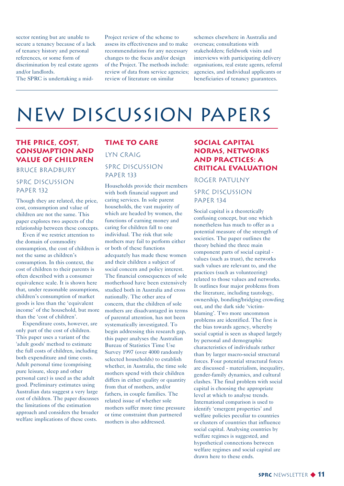sector renting but are unable to secure a tenancy because of a lack of tenancy history and personal references, or some form of discrimination by real estate agents and/or landlords.

The SPRC is undertaking a mid-

Project review of the scheme to assess its effectiveness and to make recommendations for any necessary changes to the focus and/or design of the Project. The methods include: review of data from service agencies; review of literature on similar

schemes elsewhere in Australia and overseas; consultations with stakeholders; fieldwork visits and interviews with participating delivery organisations, real estate agents, referral agencies, and individual applicants or beneficiaries of tenancy guarantees.

## NEW Discussion Papers

### **The price, cost, consumption and value of children**

#### Bruce Bradbury

### SPRC Discussion PAPER 132

Though they are related, the price, cost, consumption and value of children are not the same. This paper explores two aspects of the relationship between these concepts.

Even if we restrict attention to the domain of commodity consumption, the cost of children is not the same as children's consumption. In this context, the cost of children to their parents is often described with a consumer equivalence scale. It is shown here that, under reasonable assumptions, children's consumption of market goods is less than the 'equivalent income' of the household, but more than the 'cost of children'.

Expenditure costs, however, are only part of the cost of children. This paper uses a variant of the 'adult goods' method to estimate the full costs of children, including both expenditure and time costs. Adult personal time (comprising pure leisure, sleep and other personal care) is used as the adult good. Preliminary estimates using Australian data suggest a very large cost of children. The paper discusses the limitations of the estimation approach and considers the broader welfare implications of these costs.

## **Time to Care** Lyn Craig

### SPRC Discussion PAPER 133

Households provide their members with both financial support and caring services. In sole parent households, the vast majority of which are headed by women, the functions of earning money and caring for children fall to one individual. The risk that sole mothers may fail to perform either or both of these functions adequately has made these women and their children a subject of social concern and policy interest. The financial consequences of sole motherhood have been extensively studied both in Australia and cross nationally. The other area of concern, that the children of sole mothers are disadvantaged in terms of parental attention, has not been systematically investigated. To begin addressing this research gap, this paper analyses the Australian Bureau of Statistics Time Use Survey 1997 (over 4000 randomly selected households) to establish whether, in Australia, the time sole mothers spend with their children differs in either quality or quantity from that of mothers, and/or fathers, in couple families. The related issue of whether sole mothers suffer more time pressure or time constraint than partnered mothers is also addressed.

### **Social Capital Norms, Networks and Practices: A Critical Evaluation**

#### Roger Patulny

### SPRC Discussion PAPER 134

Social capital is a theoretically confusing concept, but one which nonetheless has much to offer as a potential measure of the strength of societies. The paper outlines the theory behind the three main component parts of social capital values (such as trust), the networks such values are relevant to, and the practices (such as volunteering) related to those values and networks. It outlines four major problems from the literature, including tautology, ownership, bonding/bridging crowding out, and the dark side 'victimblaming'. Two more uncommon problems are identified. The first is the bias towards agency, whereby social captial is seen as shaped largely by personal and demographic characteristics of individuals rather than by larger macro-social structural forces. Four potential structural forces are discussed - materialism, inequality, gender-family dynamics, and cultural clashes. The final problem with social capital is choosing the appropriate level at which to analyse trends. International comparison is used to identify 'emergent properties' and welfare policies peculiar to countries or clusters of countries that influence social capital. Analysing countries by welfare regimes is suggested, and hypothetical connections between welfare regimes and social capital are drawn here to these ends.